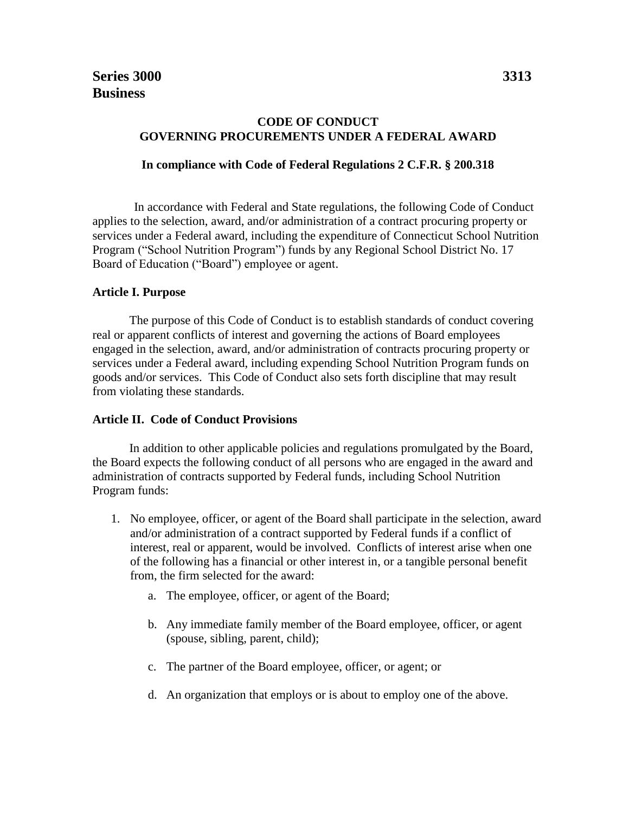## **CODE OF CONDUCT GOVERNING PROCUREMENTS UNDER A FEDERAL AWARD**

## **In compliance with Code of Federal Regulations 2 C.F.R. § 200.318**

In accordance with Federal and State regulations, the following Code of Conduct applies to the selection, award, and/or administration of a contract procuring property or services under a Federal award, including the expenditure of Connecticut School Nutrition Program ("School Nutrition Program") funds by any Regional School District No. 17 Board of Education ("Board") employee or agent.

## **Article I. Purpose**

The purpose of this Code of Conduct is to establish standards of conduct covering real or apparent conflicts of interest and governing the actions of Board employees engaged in the selection, award, and/or administration of contracts procuring property or services under a Federal award, including expending School Nutrition Program funds on goods and/or services. This Code of Conduct also sets forth discipline that may result from violating these standards.

## **Article II. Code of Conduct Provisions**

In addition to other applicable policies and regulations promulgated by the Board, the Board expects the following conduct of all persons who are engaged in the award and administration of contracts supported by Federal funds, including School Nutrition Program funds:

- 1. No employee, officer, or agent of the Board shall participate in the selection, award and/or administration of a contract supported by Federal funds if a conflict of interest, real or apparent, would be involved. Conflicts of interest arise when one of the following has a financial or other interest in, or a tangible personal benefit from, the firm selected for the award:
	- a. The employee, officer, or agent of the Board;
	- b. Any immediate family member of the Board employee, officer, or agent (spouse, sibling, parent, child);
	- c. The partner of the Board employee, officer, or agent; or
	- d. An organization that employs or is about to employ one of the above.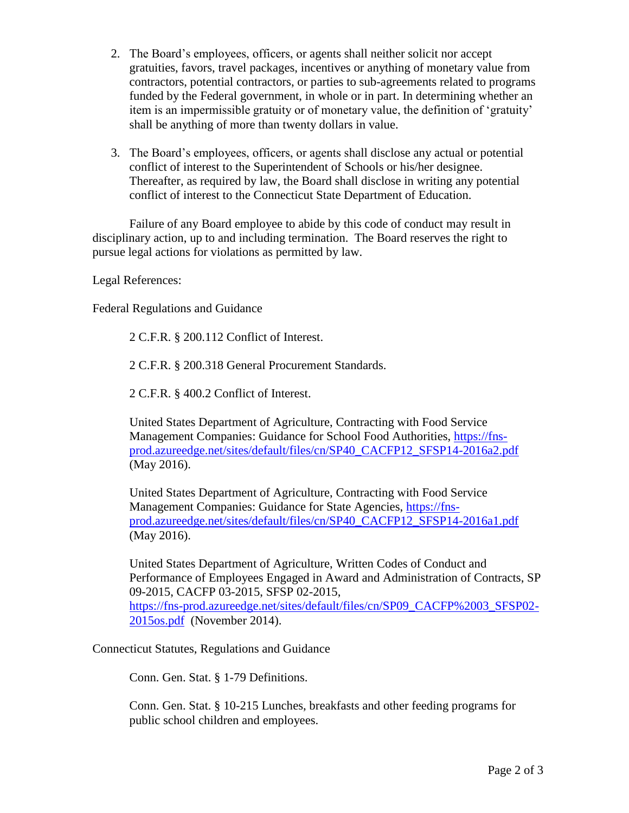- 2. The Board's employees, officers, or agents shall neither solicit nor accept gratuities, favors, travel packages, incentives or anything of monetary value from contractors, potential contractors, or parties to sub-agreements related to programs funded by the Federal government, in whole or in part. In determining whether an item is an impermissible gratuity or of monetary value, the definition of 'gratuity' shall be anything of more than twenty dollars in value.
- 3. The Board's employees, officers, or agents shall disclose any actual or potential conflict of interest to the Superintendent of Schools or his/her designee. Thereafter, as required by law, the Board shall disclose in writing any potential conflict of interest to the Connecticut State Department of Education.

Failure of any Board employee to abide by this code of conduct may result in disciplinary action, up to and including termination. The Board reserves the right to pursue legal actions for violations as permitted by law.

Legal References:

Federal Regulations and Guidance

2 C.F.R. § 200.112 Conflict of Interest.

2 C.F.R. § 200.318 General Procurement Standards.

2 C.F.R. § 400.2 Conflict of Interest.

United States Department of Agriculture, Contracting with Food Service Management Companies: Guidance for School Food Authorities, [https://fns](https://fns-prod.azureedge.net/sites/default/files/cn/SP40_CACFP12_SFSP14-2016a2.pdf)[prod.azureedge.net/sites/default/files/cn/SP40\\_CACFP12\\_SFSP14-2016a2.pdf](https://fns-prod.azureedge.net/sites/default/files/cn/SP40_CACFP12_SFSP14-2016a2.pdf) (May 2016).

United States Department of Agriculture, Contracting with Food Service Management Companies: Guidance for State Agencies, [https://fns](https://fns-prod.azureedge.net/sites/default/files/cn/SP40_CACFP12_SFSP14-2016a1.pdf)[prod.azureedge.net/sites/default/files/cn/SP40\\_CACFP12\\_SFSP14-2016a1.pdf](https://fns-prod.azureedge.net/sites/default/files/cn/SP40_CACFP12_SFSP14-2016a1.pdf) (May 2016).

United States Department of Agriculture, Written Codes of Conduct and Performance of Employees Engaged in Award and Administration of Contracts, SP 09-2015, CACFP 03-2015, SFSP 02-2015, [https://fns-prod.azureedge.net/sites/default/files/cn/SP09\\_CACFP%2003\\_SFSP02-](https://fns-prod.azureedge.net/sites/default/files/cn/SP09_CACFP%2003_SFSP02-2015os.pdf) [2015os.pdf](https://fns-prod.azureedge.net/sites/default/files/cn/SP09_CACFP%2003_SFSP02-2015os.pdf) (November 2014).

Connecticut Statutes, Regulations and Guidance

Conn. Gen. Stat. § 1-79 Definitions.

Conn. Gen. Stat. § [10-](http://www.cga.ct.gov/current/pub/Title_10.htm)215 Lunches, breakfasts and other feeding programs for public school children and employees.